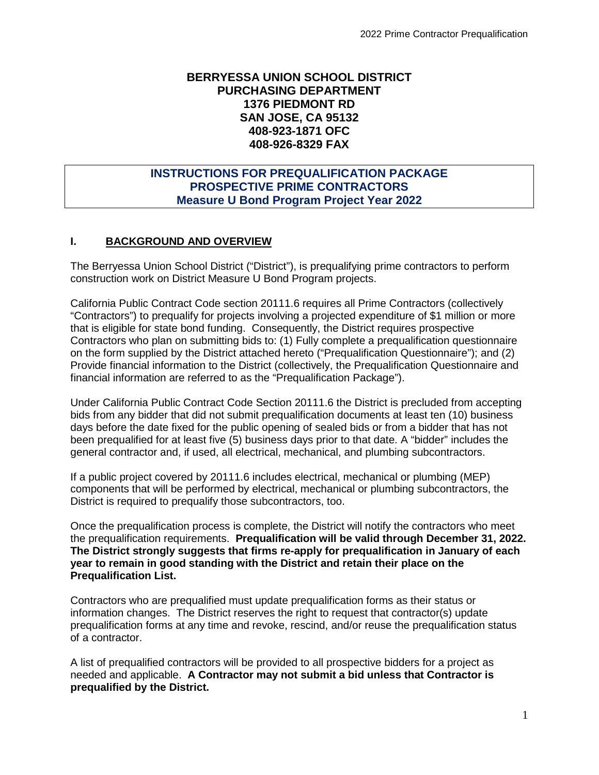## **BERRYESSA UNION SCHOOL DISTRICT PURCHASING DEPARTMENT 1376 PIEDMONT RD SAN JOSE, CA 95132 408-923-1871 OFC 408-926-8329 FAX**

## **INSTRUCTIONS FOR PREQUALIFICATION PACKAGE PROSPECTIVE PRIME CONTRACTORS Measure U Bond Program Project Year 2022**

## **I. BACKGROUND AND OVERVIEW**

The Berryessa Union School District ("District"), is prequalifying prime contractors to perform construction work on District Measure U Bond Program projects.

California Public Contract Code section 20111.6 requires all Prime Contractors (collectively "Contractors") to prequalify for projects involving a projected expenditure of \$1 million or more that is eligible for state bond funding. Consequently, the District requires prospective Contractors who plan on submitting bids to: (1) Fully complete a prequalification questionnaire on the form supplied by the District attached hereto ("Prequalification Questionnaire"); and (2) Provide financial information to the District (collectively, the Prequalification Questionnaire and financial information are referred to as the "Prequalification Package").

Under California Public Contract Code Section 20111.6 the District is precluded from accepting bids from any bidder that did not submit prequalification documents at least ten (10) business days before the date fixed for the public opening of sealed bids or from a bidder that has not been prequalified for at least five (5) business days prior to that date. A "bidder" includes the general contractor and, if used, all electrical, mechanical, and plumbing subcontractors.

If a public project covered by 20111.6 includes electrical, mechanical or plumbing (MEP) components that will be performed by electrical, mechanical or plumbing subcontractors, the District is required to prequalify those subcontractors, too.

Once the prequalification process is complete, the District will notify the contractors who meet the prequalification requirements. **Prequalification will be valid through December 31, 2022. The District strongly suggests that firms re-apply for prequalification in January of each year to remain in good standing with the District and retain their place on the Prequalification List.**

Contractors who are prequalified must update prequalification forms as their status or information changes. The District reserves the right to request that contractor(s) update prequalification forms at any time and revoke, rescind, and/or reuse the prequalification status of a contractor.

A list of prequalified contractors will be provided to all prospective bidders for a project as needed and applicable. **A Contractor may not submit a bid unless that Contractor is prequalified by the District.**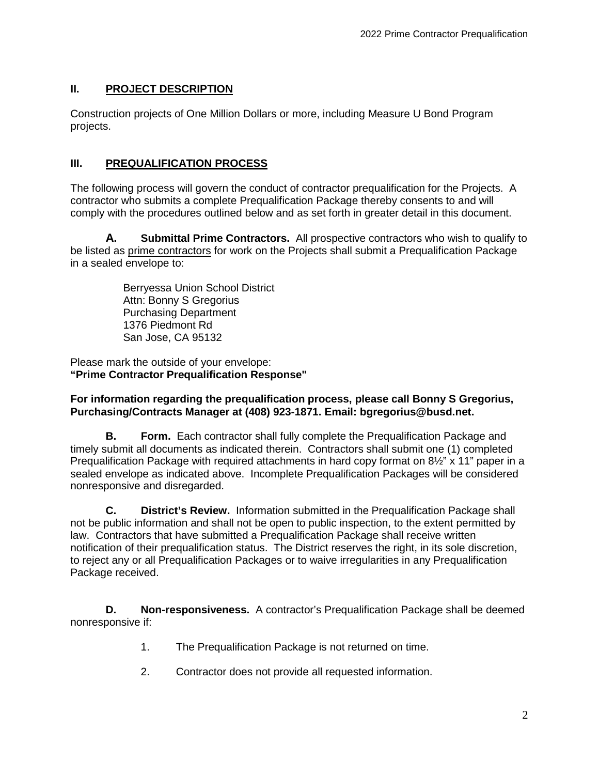# **II. PROJECT DESCRIPTION**

Construction projects of One Million Dollars or more, including Measure U Bond Program projects.

# **III. PREQUALIFICATION PROCESS**

The following process will govern the conduct of contractor prequalification for the Projects. A contractor who submits a complete Prequalification Package thereby consents to and will comply with the procedures outlined below and as set forth in greater detail in this document.

**A. Submittal Prime Contractors.** All prospective contractors who wish to qualify to be listed as prime contractors for work on the Projects shall submit a Prequalification Package in a sealed envelope to:

> Berryessa Union School District Attn: Bonny S Gregorius Purchasing Department 1376 Piedmont Rd San Jose, CA 95132

Please mark the outside of your envelope: **"Prime Contractor Prequalification Response"**

## **For information regarding the prequalification process, please call Bonny S Gregorius, Purchasing/Contracts Manager at (408) 923-1871. Email: bgregorius@busd.net.**

**B. Form.** Each contractor shall fully complete the Prequalification Package and timely submit all documents as indicated therein. Contractors shall submit one (1) completed Prequalification Package with required attachments in hard copy format on 8½" x 11" paper in a sealed envelope as indicated above. Incomplete Prequalification Packages will be considered nonresponsive and disregarded.

**C. District's Review.** Information submitted in the Prequalification Package shall not be public information and shall not be open to public inspection, to the extent permitted by law. Contractors that have submitted a Prequalification Package shall receive written notification of their prequalification status. The District reserves the right, in its sole discretion, to reject any or all Prequalification Packages or to waive irregularities in any Prequalification Package received.

**D. Non-responsiveness.** A contractor's Prequalification Package shall be deemed nonresponsive if:

- 1. The Prequalification Package is not returned on time.
- 2. Contractor does not provide all requested information.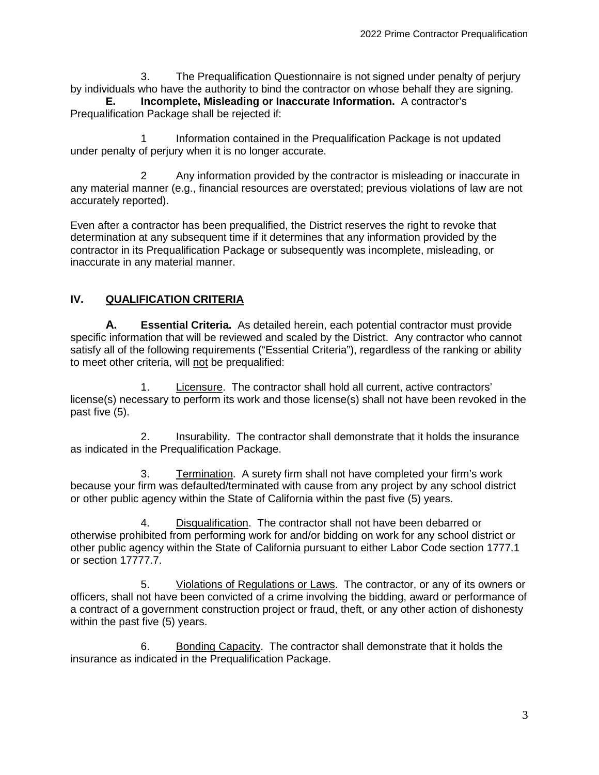3. The Prequalification Questionnaire is not signed under penalty of perjury by individuals who have the authority to bind the contractor on whose behalf they are signing.

**E. Incomplete, Misleading or Inaccurate Information.** A contractor's Prequalification Package shall be rejected if:

1 Information contained in the Prequalification Package is not updated under penalty of perjury when it is no longer accurate.

2 Any information provided by the contractor is misleading or inaccurate in any material manner (e.g., financial resources are overstated; previous violations of law are not accurately reported).

Even after a contractor has been prequalified, the District reserves the right to revoke that determination at any subsequent time if it determines that any information provided by the contractor in its Prequalification Package or subsequently was incomplete, misleading, or inaccurate in any material manner.

## **IV. QUALIFICATION CRITERIA**

**A. Essential Criteria.** As detailed herein, each potential contractor must provide specific information that will be reviewed and scaled by the District. Any contractor who cannot satisfy all of the following requirements ("Essential Criteria"), regardless of the ranking or ability to meet other criteria, will not be prequalified:

1. Licensure. The contractor shall hold all current, active contractors' license(s) necessary to perform its work and those license(s) shall not have been revoked in the past five (5).

2. Insurability. The contractor shall demonstrate that it holds the insurance as indicated in the Prequalification Package.

3. Termination. A surety firm shall not have completed your firm's work because your firm was defaulted/terminated with cause from any project by any school district or other public agency within the State of California within the past five (5) years.

4. Disqualification. The contractor shall not have been debarred or otherwise prohibited from performing work for and/or bidding on work for any school district or other public agency within the State of California pursuant to either Labor Code section 1777.1 or section 17777.7.

5. Violations of Regulations or Laws. The contractor, or any of its owners or officers, shall not have been convicted of a crime involving the bidding, award or performance of a contract of a government construction project or fraud, theft, or any other action of dishonesty within the past five (5) years.

6. Bonding Capacity. The contractor shall demonstrate that it holds the insurance as indicated in the Prequalification Package.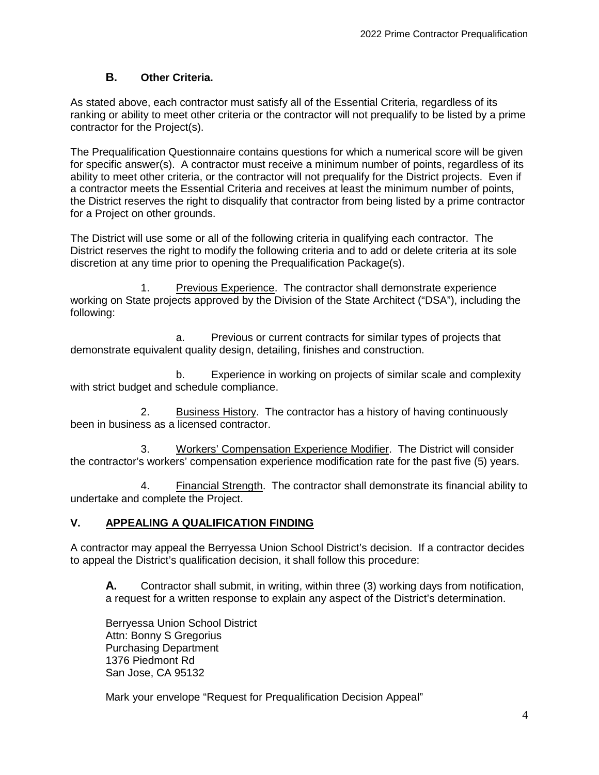## **B. Other Criteria.**

As stated above, each contractor must satisfy all of the Essential Criteria, regardless of its ranking or ability to meet other criteria or the contractor will not prequalify to be listed by a prime contractor for the Project(s).

The Prequalification Questionnaire contains questions for which a numerical score will be given for specific answer(s). A contractor must receive a minimum number of points, regardless of its ability to meet other criteria, or the contractor will not prequalify for the District projects. Even if a contractor meets the Essential Criteria and receives at least the minimum number of points, the District reserves the right to disqualify that contractor from being listed by a prime contractor for a Project on other grounds.

The District will use some or all of the following criteria in qualifying each contractor. The District reserves the right to modify the following criteria and to add or delete criteria at its sole discretion at any time prior to opening the Prequalification Package(s).

1. Previous Experience. The contractor shall demonstrate experience working on State projects approved by the Division of the State Architect ("DSA"), including the following:

a. Previous or current contracts for similar types of projects that demonstrate equivalent quality design, detailing, finishes and construction.

b. Experience in working on projects of similar scale and complexity with strict budget and schedule compliance.

2. Business History. The contractor has a history of having continuously been in business as a licensed contractor.

3. Workers' Compensation Experience Modifier. The District will consider the contractor's workers' compensation experience modification rate for the past five (5) years.

4. Financial Strength. The contractor shall demonstrate its financial ability to undertake and complete the Project.

### **V. APPEALING A QUALIFICATION FINDING**

A contractor may appeal the Berryessa Union School District's decision. If a contractor decides to appeal the District's qualification decision, it shall follow this procedure:

**A.** Contractor shall submit, in writing, within three (3) working days from notification, a request for a written response to explain any aspect of the District's determination.

Berryessa Union School District Attn: Bonny S Gregorius Purchasing Department 1376 Piedmont Rd San Jose, CA 95132

Mark your envelope "Request for Prequalification Decision Appeal"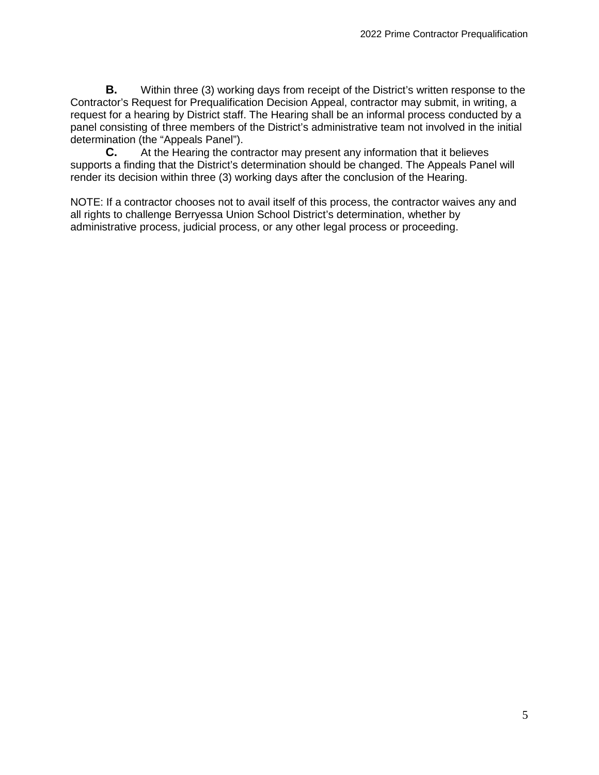**B.** Within three (3) working days from receipt of the District's written response to the Contractor's Request for Prequalification Decision Appeal, contractor may submit, in writing, a request for a hearing by District staff. The Hearing shall be an informal process conducted by a panel consisting of three members of the District's administrative team not involved in the initial determination (the "Appeals Panel").

**C.** At the Hearing the contractor may present any information that it believes supports a finding that the District's determination should be changed. The Appeals Panel will render its decision within three (3) working days after the conclusion of the Hearing.

NOTE: If a contractor chooses not to avail itself of this process, the contractor waives any and all rights to challenge Berryessa Union School District's determination, whether by administrative process, judicial process, or any other legal process or proceeding.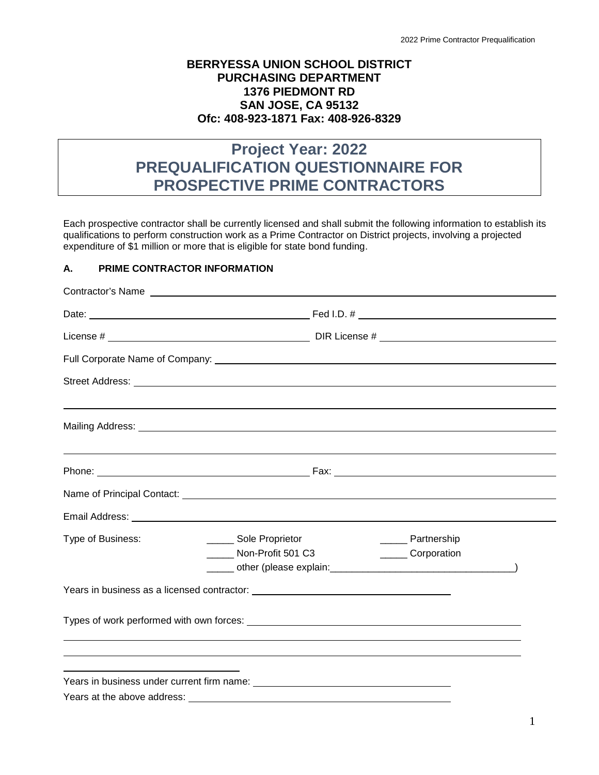## **BERRYESSA UNION SCHOOL DISTRICT PURCHASING DEPARTMENT 1376 PIEDMONT RD SAN JOSE, CA 95132 Ofc: 408-923-1871 Fax: 408-926-8329**

# **Project Year: 2022 PREQUALIFICATION QUESTIONNAIRE FOR PROSPECTIVE PRIME CONTRACTORS**

Each prospective contractor shall be currently licensed and shall submit the following information to establish its qualifications to perform construction work as a Prime Contractor on District projects, involving a projected expenditure of \$1 million or more that is eligible for state bond funding.

#### **A. PRIME CONTRACTOR INFORMATION**

| _______ Sole Proprietor<br>Non-Profit 501 C3 |                                                                                                                                                                                                                                                                                                                                                                                                                                                                                                                          |
|----------------------------------------------|--------------------------------------------------------------------------------------------------------------------------------------------------------------------------------------------------------------------------------------------------------------------------------------------------------------------------------------------------------------------------------------------------------------------------------------------------------------------------------------------------------------------------|
|                                              |                                                                                                                                                                                                                                                                                                                                                                                                                                                                                                                          |
|                                              |                                                                                                                                                                                                                                                                                                                                                                                                                                                                                                                          |
|                                              |                                                                                                                                                                                                                                                                                                                                                                                                                                                                                                                          |
|                                              |                                                                                                                                                                                                                                                                                                                                                                                                                                                                                                                          |
|                                              |                                                                                                                                                                                                                                                                                                                                                                                                                                                                                                                          |
|                                              |                                                                                                                                                                                                                                                                                                                                                                                                                                                                                                                          |
|                                              |                                                                                                                                                                                                                                                                                                                                                                                                                                                                                                                          |
|                                              | Street Address: <u>The Communication</u> Contract of the Communication Communication Communication Communication Communication Communication Communication Communication Communication Communication Communication Communication Co<br>Name of Principal Contact: <u>contained and a series of the series of the series of the series of the series of the series of the series of the series of the series of the series of the series of the series of the series of </u><br>______ Partnership<br>_______ Corporation |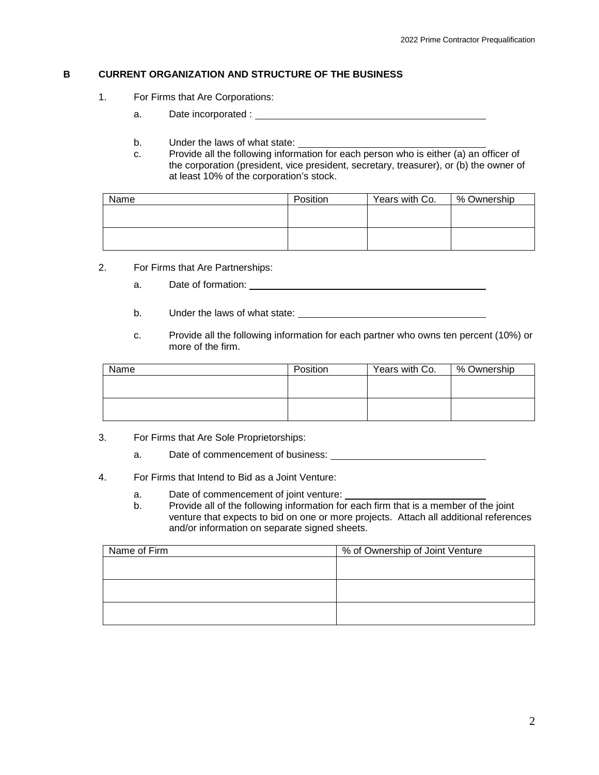#### **B CURRENT ORGANIZATION AND STRUCTURE OF THE BUSINESS**

- 1. For Firms that Are Corporations:
	- a. Date incorporated :
	- b. Under the laws of what state:
	- c. Provide all the following information for each person who is either (a) an officer of the corporation (president, vice president, secretary, treasurer), or (b) the owner of at least 10% of the corporation's stock.

| Name | Position | Years with Co. | % Ownership |
|------|----------|----------------|-------------|
|      |          |                |             |
|      |          |                |             |
|      |          |                |             |
|      |          |                |             |

- 2. For Firms that Are Partnerships:
	- a. Date of formation: <u>contained</u>
	- b. Under the laws of what state:
	- c. Provide all the following information for each partner who owns ten percent (10%) or more of the firm.

| Name | Position | Years with Co. | % Ownership |
|------|----------|----------------|-------------|
|      |          |                |             |
|      |          |                |             |
|      |          |                |             |
|      |          |                |             |

- 3. For Firms that Are Sole Proprietorships:
	- a. Date of commencement of business:
- 4. For Firms that Intend to Bid as a Joint Venture:
	- a. Date of commencement of joint venture:
	- b. Provide all of the following information for each firm that is a member of the joint venture that expects to bid on one or more projects. Attach all additional references and/or information on separate signed sheets.

| Name of Firm | % of Ownership of Joint Venture |
|--------------|---------------------------------|
|              |                                 |
|              |                                 |
|              |                                 |
|              |                                 |
|              |                                 |
|              |                                 |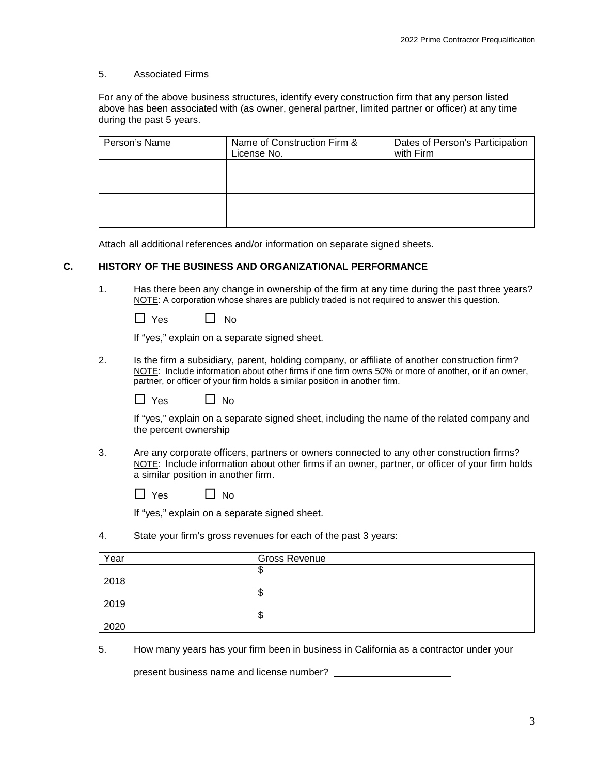#### 5. Associated Firms

For any of the above business structures, identify every construction firm that any person listed above has been associated with (as owner, general partner, limited partner or officer) at any time during the past 5 years.

| Person's Name | Name of Construction Firm &<br>License No. | Dates of Person's Participation<br>with Firm |
|---------------|--------------------------------------------|----------------------------------------------|
|               |                                            |                                              |
|               |                                            |                                              |
|               |                                            |                                              |

Attach all additional references and/or information on separate signed sheets.

#### **C. HISTORY OF THE BUSINESS AND ORGANIZATIONAL PERFORMANCE**

1. Has there been any change in ownership of the firm at any time during the past three years? NOTE: A corporation whose shares are publicly traded is not required to answer this question.

| Yes. | No |
|------|----|
|------|----|

If "yes," explain on a separate signed sheet.

2. Is the firm a subsidiary, parent, holding company, or affiliate of another construction firm? NOTE: Include information about other firms if one firm owns 50% or more of another, or if an owner, partner, or officer of your firm holds a similar position in another firm.

|  | Yes |  | $\Box$ No |
|--|-----|--|-----------|
|--|-----|--|-----------|

If "yes," explain on a separate signed sheet, including the name of the related company and the percent ownership

3. Are any corporate officers, partners or owners connected to any other construction firms? NOTE: Include information about other firms if an owner, partner, or officer of your firm holds a similar position in another firm.

| 'es | Nο |
|-----|----|
|-----|----|

If "yes," explain on a separate signed sheet.

4. State your firm's gross revenues for each of the past 3 years:

| Year | <b>Gross Revenue</b> |
|------|----------------------|
|      | æ<br>Ψ               |
| 2018 |                      |
|      | Φ                    |
| 2019 |                      |
|      | ጥ<br>Φ               |
| 2020 |                      |

5. How many years has your firm been in business in California as a contractor under your

present business name and license number?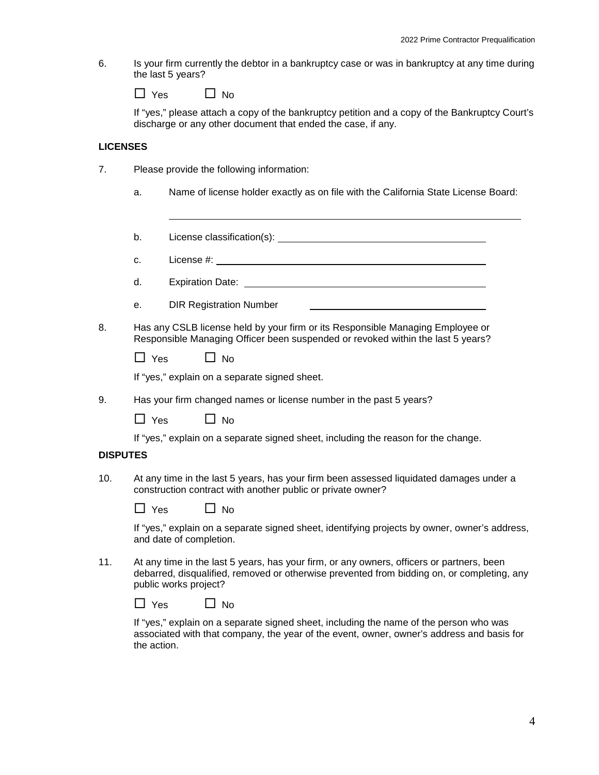6. Is your firm currently the debtor in a bankruptcy case or was in bankruptcy at any time during the last 5 years?

| Yes | ∐ No |
|-----|------|
|-----|------|

If "yes," please attach a copy of the bankruptcy petition and a copy of the Bankruptcy Court's discharge or any other document that ended the case, if any.

#### **LICENSES**

- 7. Please provide the following information:
	- a. Name of license holder exactly as on file with the California State License Board:
	- b. License classification(s):
	- c. License #:
	- d. Expiration Date:
	- e. DIR Registration Number
- 8. Has any CSLB license held by your firm or its Responsible Managing Employee or Responsible Managing Officer been suspended or revoked within the last 5 years?

| Yes | $\Box$ No |
|-----|-----------|
|-----|-----------|

If "yes," explain on a separate signed sheet.

9. Has your firm changed names or license number in the past 5 years?

 $\Box$  Yes  $\Box$  No

If "yes," explain on a separate signed sheet, including the reason for the change.

#### **DISPUTES**

10. At any time in the last 5 years, has your firm been assessed liquidated damages under a construction contract with another public or private owner?

| 'es | Nο |
|-----|----|
|-----|----|

If "yes," explain on a separate signed sheet, identifying projects by owner, owner's address, and date of completion.

11. At any time in the last 5 years, has your firm, or any owners, officers or partners, been debarred, disqualified, removed or otherwise prevented from bidding on, or completing, any public works project?

| <b>Yes</b> | ∐ No |
|------------|------|
|------------|------|

If "yes," explain on a separate signed sheet, including the name of the person who was associated with that company, the year of the event, owner, owner's address and basis for the action.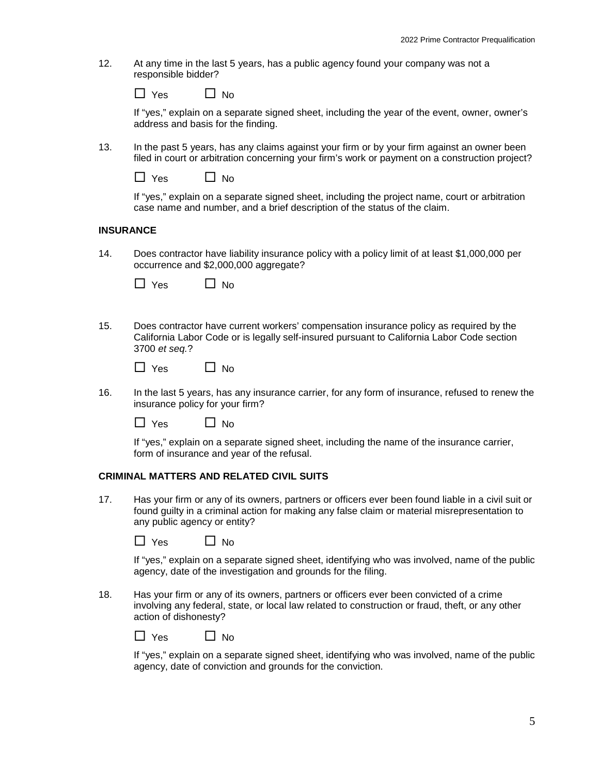12. At any time in the last 5 years, has a public agency found your company was not a responsible bidder?

| Yes | $\Box$ No |
|-----|-----------|
|-----|-----------|

If "yes," explain on a separate signed sheet, including the year of the event, owner, owner's address and basis for the finding.

13. In the past 5 years, has any claims against your firm or by your firm against an owner been filed in court or arbitration concerning your firm's work or payment on a construction project?

 $\Box$  Yes  $\Box$  No

If "yes," explain on a separate signed sheet, including the project name, court or arbitration case name and number, and a brief description of the status of the claim.

#### **INSURANCE**

14. Does contractor have liability insurance policy with a policy limit of at least \$1,000,000 per occurrence and \$2,000,000 aggregate?

| 'es | No |
|-----|----|
|-----|----|

15. Does contractor have current workers' compensation insurance policy as required by the California Labor Code or is legally self-insured pursuant to California Labor Code section 3700 *et seq.*?

| Yes | N٥ |
|-----|----|
|-----|----|

16. In the last 5 years, has any insurance carrier, for any form of insurance, refused to renew the insurance policy for your firm?

 $\Box$  Yes  $\Box$  No

If "yes," explain on a separate signed sheet, including the name of the insurance carrier, form of insurance and year of the refusal.

### **CRIMINAL MATTERS AND RELATED CIVIL SUITS**

17. Has your firm or any of its owners, partners or officers ever been found liable in a civil suit or found guilty in a criminal action for making any false claim or material misrepresentation to any public agency or entity?

| $\Box$ Yes | $\Box$ No |
|------------|-----------|
|------------|-----------|

If "yes," explain on a separate signed sheet, identifying who was involved, name of the public agency, date of the investigation and grounds for the filing.

18. Has your firm or any of its owners, partners or officers ever been convicted of a crime involving any federal, state, or local law related to construction or fraud, theft, or any other action of dishonesty?

| <b>Yes</b> | No |
|------------|----|
|------------|----|

If "yes," explain on a separate signed sheet, identifying who was involved, name of the public agency, date of conviction and grounds for the conviction.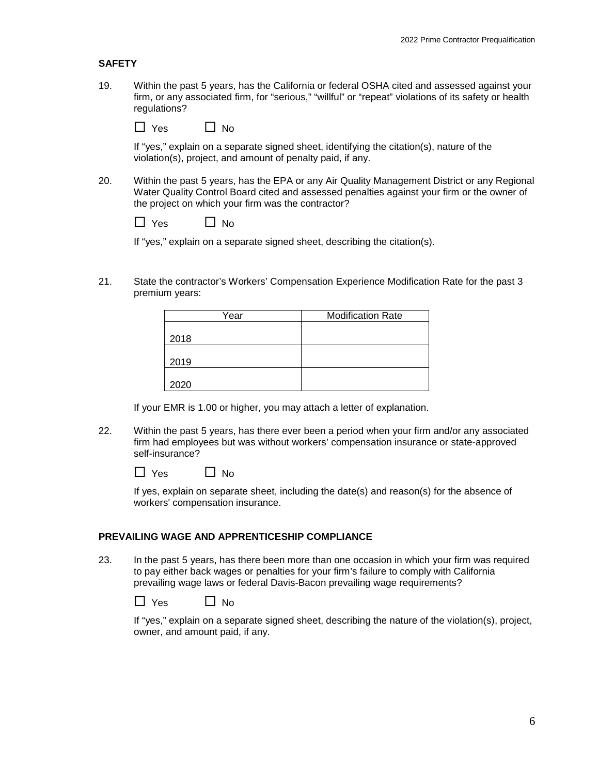#### **SAFETY**

19. Within the past 5 years, has the California or federal OSHA cited and assessed against your firm, or any associated firm, for "serious," "willful" or "repeat" violations of its safety or health regulations?

 $\Box$  Yes  $\Box$  No

If "yes," explain on a separate signed sheet, identifying the citation(s), nature of the violation(s), project, and amount of penalty paid, if any.

20. Within the past 5 years, has the EPA or any Air Quality Management District or any Regional Water Quality Control Board cited and assessed penalties against your firm or the owner of the project on which your firm was the contractor?

 $\Box$  Yes  $\Box$  No

If "yes," explain on a separate signed sheet, describing the citation(s).

21. State the contractor's Workers' Compensation Experience Modification Rate for the past 3 premium years:

| Year | <b>Modification Rate</b> |
|------|--------------------------|
|      |                          |
| 2018 |                          |
|      |                          |
| 2019 |                          |
|      |                          |
| 2020 |                          |

If your EMR is 1.00 or higher, you may attach a letter of explanation.

22. Within the past 5 years, has there ever been a period when your firm and/or any associated firm had employees but was without workers' compensation insurance or state-approved self-insurance?

| Yes | $\Box$ No |
|-----|-----------|
|-----|-----------|

If yes, explain on separate sheet, including the date(s) and reason(s) for the absence of workers' compensation insurance.

#### **PREVAILING WAGE AND APPRENTICESHIP COMPLIANCE**

23. In the past 5 years, has there been more than one occasion in which your firm was required to pay either back wages or penalties for your firm's failure to comply with California prevailing wage laws or federal Davis-Bacon prevailing wage requirements?

| <b>Yes</b> | No |
|------------|----|
|------------|----|

If "yes," explain on a separate signed sheet, describing the nature of the violation(s), project, owner, and amount paid, if any.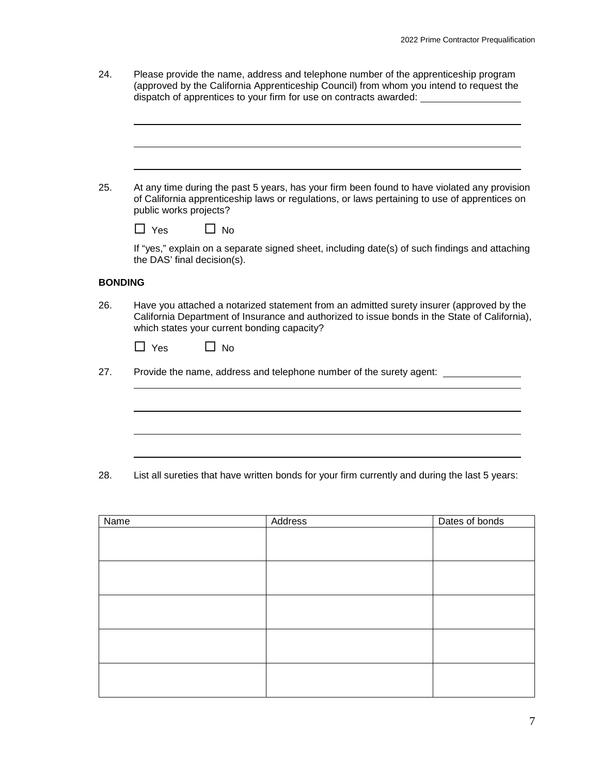| 24.            | Please provide the name, address and telephone number of the apprenticeship program<br>(approved by the California Apprenticeship Council) from whom you intend to request the<br>dispatch of apprentices to your firm for use on contracts awarded: ______________ |
|----------------|---------------------------------------------------------------------------------------------------------------------------------------------------------------------------------------------------------------------------------------------------------------------|
|                |                                                                                                                                                                                                                                                                     |
| 25.            | At any time during the past 5 years, has your firm been found to have violated any provision<br>of California apprenticeship laws or regulations, or laws pertaining to use of apprentices on<br>public works projects?                                             |
|                | $\Box$ Yes<br>$\Box$ No                                                                                                                                                                                                                                             |
|                | If "yes," explain on a separate signed sheet, including date(s) of such findings and attaching<br>the DAS' final decision(s).                                                                                                                                       |
| <b>BONDING</b> |                                                                                                                                                                                                                                                                     |
| 26.            | Have you attached a notarized statement from an admitted surety insurer (approved by the<br>California Department of Insurance and authorized to issue bonds in the State of California),<br>which states your current bonding capacity?                            |
|                | $\Box$ Yes<br>$\Box$ No                                                                                                                                                                                                                                             |
| 27.            | Provide the name, address and telephone number of the surety agent: ___                                                                                                                                                                                             |
|                |                                                                                                                                                                                                                                                                     |
|                |                                                                                                                                                                                                                                                                     |
|                |                                                                                                                                                                                                                                                                     |
|                |                                                                                                                                                                                                                                                                     |

28. List all sureties that have written bonds for your firm currently and during the last 5 years:

| Name | Address | Dates of bonds |
|------|---------|----------------|
|      |         |                |
|      |         |                |
|      |         |                |
|      |         |                |
|      |         |                |
|      |         |                |
|      |         |                |
|      |         |                |
|      |         |                |
|      |         |                |
|      |         |                |
|      |         |                |
|      |         |                |
|      |         |                |
|      |         |                |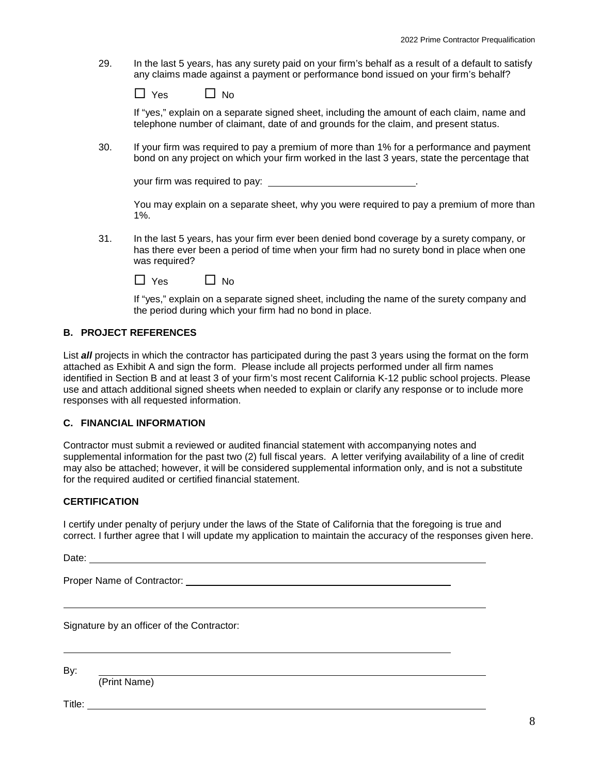29. In the last 5 years, has any surety paid on your firm's behalf as a result of a default to satisfy any claims made against a payment or performance bond issued on your firm's behalf?

| Yes | No |
|-----|----|
|-----|----|

If "yes," explain on a separate signed sheet, including the amount of each claim, name and telephone number of claimant, date of and grounds for the claim, and present status.

30. If your firm was required to pay a premium of more than 1% for a performance and payment bond on any project on which your firm worked in the last 3 years, state the percentage that

your firm was required to pay: \_\_\_\_\_\_\_\_\_\_\_\_\_\_\_\_\_\_\_\_\_\_\_\_\_\_\_\_\_\_\_\_.

You may explain on a separate sheet, why you were required to pay a premium of more than 1%.

31. In the last 5 years, has your firm ever been denied bond coverage by a surety company, or has there ever been a period of time when your firm had no surety bond in place when one was required?

| $\Box$ Yes | $\Box$ No |
|------------|-----------|
|------------|-----------|

If "yes," explain on a separate signed sheet, including the name of the surety company and the period during which your firm had no bond in place.

#### **B. PROJECT REFERENCES**

List *all* projects in which the contractor has participated during the past 3 years using the format on the form attached as Exhibit A and sign the form. Please include all projects performed under all firm names identified in Section B and at least 3 of your firm's most recent California K-12 public school projects. Please use and attach additional signed sheets when needed to explain or clarify any response or to include more responses with all requested information.

#### **C. FINANCIAL INFORMATION**

Contractor must submit a reviewed or audited financial statement with accompanying notes and supplemental information for the past two (2) full fiscal years. A letter verifying availability of a line of credit may also be attached; however, it will be considered supplemental information only, and is not a substitute for the required audited or certified financial statement.

#### **CERTIFICATION**

I certify under penalty of perjury under the laws of the State of California that the foregoing is true and correct. I further agree that I will update my application to maintain the accuracy of the responses given here.

Date:

Proper Name of Contractor:

Signature by an officer of the Contractor:

By:

(Print Name)

Title: